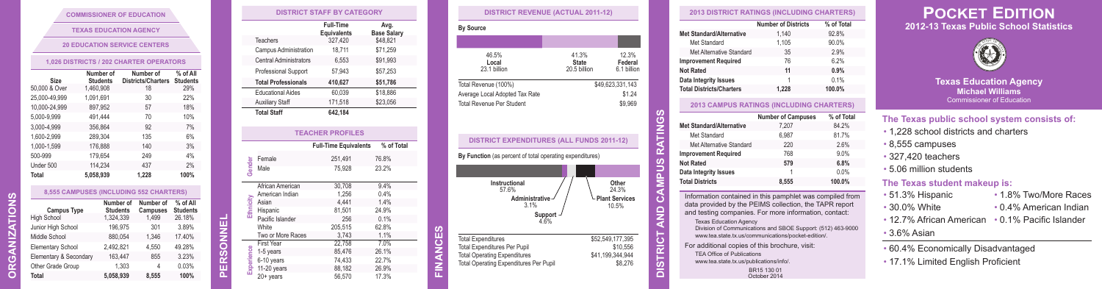#### **COMMISSIONER OF EDUCATION**

#### **1,026 DISTRICTS / 202 CHARTER OPERATORS**

| <b>Size</b>   | Number of<br><b>Students</b> | Number of<br><b>Districts/Charters</b> | % of All<br><b>Students</b> |
|---------------|------------------------------|----------------------------------------|-----------------------------|
| 50,000 & Over | 1,460,908                    | 18                                     | 29%                         |
| 25.000-49.999 | 1.091.691                    | 30                                     | 22%                         |
| 10,000-24,999 | 897.952                      | 57                                     | 18%                         |
| 5.000-9.999   | 491.444                      | 70                                     | 10%                         |
| 3.000-4.999   | 356.864                      | 92                                     | 7%                          |
| 1.600-2.999   | 289.304                      | 135                                    | 6%                          |
| 1.000-1.599   | 176.888                      | 140                                    | 3%                          |
| 500-999       | 179,654                      | 249                                    | 4%                          |
| Under 500     | 114.234                      | 437                                    | 2%                          |
| <b>Total</b>  | 5.058.939                    | 1.228                                  | 100%                        |

| 8.555 CAMPUSES (INCLUDING 552 CHARTERS) |                              |                       |                 |
|-----------------------------------------|------------------------------|-----------------------|-----------------|
| <b>Campus Type</b>                      | Number of<br><b>Students</b> | Number of<br>Campuses | $%$ of<br>Stude |
| School                                  | 1.324.339                    | 1.499                 | 26.18           |

|                                          |                              | <b>COMMISSIONER OF EDUCATION</b>        |                           |
|------------------------------------------|------------------------------|-----------------------------------------|---------------------------|
|                                          |                              | <b>TEXAS EDUCATION AGENCY</b>           |                           |
|                                          |                              | <b>20 EDUCATION SERVICE CENTERS</b>     |                           |
|                                          |                              | 1,026 DISTRICTS / 202 CHARTER OPERATORS |                           |
|                                          | Number of                    | Number of                               | % of All                  |
| Size                                     | <b>Students</b>              | <b>Districts/Charters</b>               | <b>Students</b>           |
| 50,000 & Over                            | 1,460,908                    | 18                                      | 29%                       |
| 25.000-49.999                            | 1.091.691                    | 30                                      | 22%                       |
| 10,000-24,999                            | 897.952                      | 57                                      | 18%                       |
| 5.000-9.999                              | 491.444                      | 70                                      | 10%                       |
| 3.000-4.999                              | 356.864                      | 92                                      | 7%                        |
| 1.600-2.999                              | 289.304                      | 135                                     | 6%                        |
| 1.000-1.599                              | 176.888                      | 140                                     | 3%                        |
| 500-999                                  | 179.654                      | 249                                     | 4%                        |
| Under 500                                | 114.234                      | 437                                     | 2%                        |
| Total                                    | 5,058,939                    | 1,228                                   | 100%                      |
|                                          |                              |                                         |                           |
|                                          |                              | 8,555 CAMPUSES (INCLUDING 552 CHARTERS) |                           |
|                                          |                              | Number of<br>Number of                  | % of All                  |
| <b>Campus Type</b><br><b>High School</b> | <b>Students</b><br>1,324,339 | Campuses<br>1.499                       | <b>Students</b><br>26.18% |
| Junior High School                       |                              | 301<br>196.975                          | 3.89%                     |
| Middle School                            |                              | 880.054<br>1.346                        | 17.40%                    |
| <b>Elementary School</b>                 | 2.492.821                    | 4.550                                   | 49.28%                    |
|                                          |                              |                                         |                           |
| Elementary & Secondary                   |                              | 855<br>163,447                          | 3.23%                     |
| Other Grade Group                        |                              | 1,303<br>4                              | 0.03%                     |
| Total                                    | 5.058.939                    | 8.555                                   | 100%                      |

| 46.5%<br>Local<br>23.1 billion                                                                               | 41.3%<br><b>State</b><br>20.5 billion | 12.3%<br>Federal<br>6.1 billion       |
|--------------------------------------------------------------------------------------------------------------|---------------------------------------|---------------------------------------|
| Total Revenue (100%)<br>Average Local Adopted Tax Rate<br><b>Total Revenue Per Student</b>                   |                                       | \$49,623,331,143<br>\$1.24<br>\$9,969 |
| <b>DISTRICT EXPENDITURES (ALL FUNDS 2011-12)</b><br>By Function (as percent of total operating expenditures) |                                       |                                       |
|                                                                                                              |                                       | Other<br>24.3%                        |
| Instructional<br>57.6%<br>Administrative<br>3.1%<br>Support<br>4.6%                                          |                                       | <b>Plant Services</b><br>10.5%        |

**FINANCES**

**SNS** 

È

| <b>2013 DISTRICT RATINGS (INCLUDING CHARTERS)</b><br><b>Number of Districts</b><br>1.140<br>1.105<br>35<br>76<br>11<br>1<br>1.228<br><b>2013 CAMPUS RATINGS (INCLUDING CHARTERS)</b><br><b>Number of Campuses</b><br>7.207<br>6.987                                                                                                | % of Total<br>92.8%<br>90.0%<br>2.9%<br>6.2%<br>0.9%<br>0.1%<br>100.0%<br>% of Total<br>84.2%<br>81.7% |
|------------------------------------------------------------------------------------------------------------------------------------------------------------------------------------------------------------------------------------------------------------------------------------------------------------------------------------|--------------------------------------------------------------------------------------------------------|
|                                                                                                                                                                                                                                                                                                                                    |                                                                                                        |
|                                                                                                                                                                                                                                                                                                                                    |                                                                                                        |
|                                                                                                                                                                                                                                                                                                                                    |                                                                                                        |
|                                                                                                                                                                                                                                                                                                                                    |                                                                                                        |
|                                                                                                                                                                                                                                                                                                                                    |                                                                                                        |
|                                                                                                                                                                                                                                                                                                                                    |                                                                                                        |
|                                                                                                                                                                                                                                                                                                                                    |                                                                                                        |
|                                                                                                                                                                                                                                                                                                                                    |                                                                                                        |
|                                                                                                                                                                                                                                                                                                                                    |                                                                                                        |
|                                                                                                                                                                                                                                                                                                                                    |                                                                                                        |
|                                                                                                                                                                                                                                                                                                                                    |                                                                                                        |
|                                                                                                                                                                                                                                                                                                                                    |                                                                                                        |
|                                                                                                                                                                                                                                                                                                                                    |                                                                                                        |
| 220                                                                                                                                                                                                                                                                                                                                | 2.6%                                                                                                   |
| 768                                                                                                                                                                                                                                                                                                                                | 9.0%                                                                                                   |
| 579                                                                                                                                                                                                                                                                                                                                | 6.8%                                                                                                   |
| 1                                                                                                                                                                                                                                                                                                                                  | 0.0%                                                                                                   |
| 8,555                                                                                                                                                                                                                                                                                                                              | 100.0%                                                                                                 |
| Information contained in this pamphlet was compiled from<br>data provided by the PEIMS collection, the TAPR report<br>and testing companies. For more information, contact:<br><b>Texas Education Agency</b><br>Division of Communications and SBOE Support: (512) 463-9000<br>www.tea.state.tx.us/communications/pocket-edition/. |                                                                                                        |
| For additional copies of this brochure, visit:<br><b>TEA Office of Publications</b><br>www.tea.state.tx.us/publications/info/.                                                                                                                                                                                                     |                                                                                                        |
|                                                                                                                                                                                                                                                                                                                                    | BR15 130 01<br>October 2014                                                                            |

# **POCKET EDITION 2012-13 Texas Public School Statistics**



**Texas Education Agency Michael Williams** Commissioner of Education

## **The Texas public school system consists of:**

- 1,228 school districts and charters
- 8,555 campuses
- 327,420 teachers
- 5.06 million students

### **The Texas student makeup is:**

- 51.3% Hispanic • 1.8% Two/More Races
- 30.0% White
- 12.7% African American • 0.1% Pacific Islander

• 0.4% American Indian

### • 3.6% Asian

• 60.4% Economically Disadvantaged • 17.1% Limited English Proficient